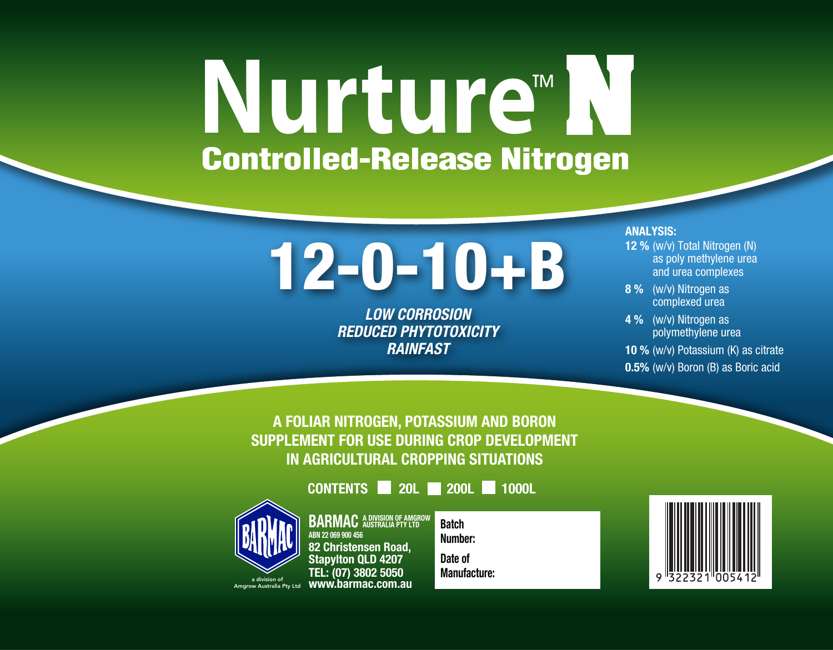# **Nurture**<sup>M</sup>

## 12-0-10+B

*LOW CORROSION REDUCED PHYTOTOXICITY RAINFAST*

#### ANALYSIS:

- 12 % (w/v) Total Nitrogen (N) as poly methylene urea and urea complexes
- 8 % (w/v) Nitrogen as complexed urea
- 4 % (w/v) Nitrogen as polymethylene urea
- 10 % (w/v) Potassium (K) as citrate
- 0.5% (w/v) Boron (B) as Boric acid

A FOLIAR NITROGEN, POTASSIUM AND BORON SUPPLEMENT FOR USE DURING CROP DEVELOPMENT IN AGRICULTURAL CROPPING SITUATIONS

CONTENTS 20L 200L 1000L



**BARMAC** A DIVISION OF AMGROW ABN 22 069 900 456 82 Christensen Road, Stapylton QLD 4207 TEL: (07) 3802 5050 www.barmac.com.au

**Batch** Number: Date of Manufacture:

a division of Amgrow Australia Pty Ltd